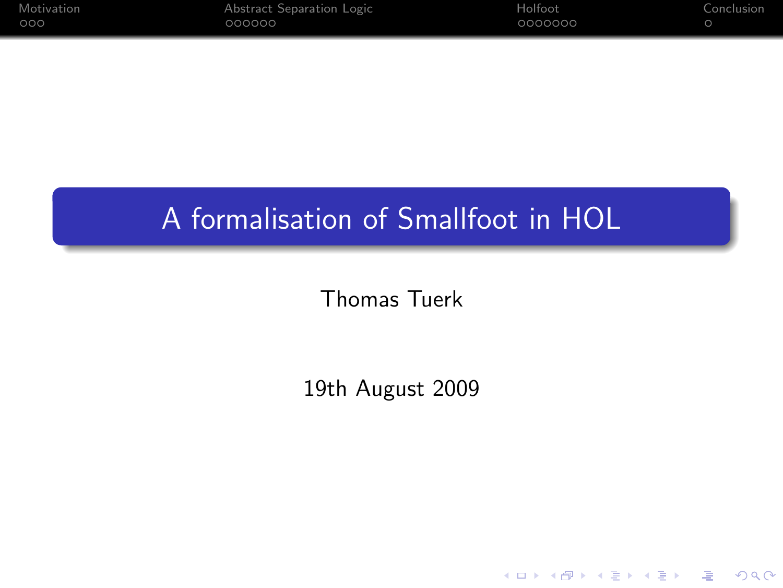| Motivation | Abstract Separation Logic | Holfoot | Conclusion |
|------------|---------------------------|---------|------------|
| .000       | 000000                    | 0000000 |            |

## A formalisation of Smallfoot in HOL

Thomas Tuerk

19th August 2009

K ロ ▶ K @ ▶ K 할 > K 할 > 1 할 | X 9 Q @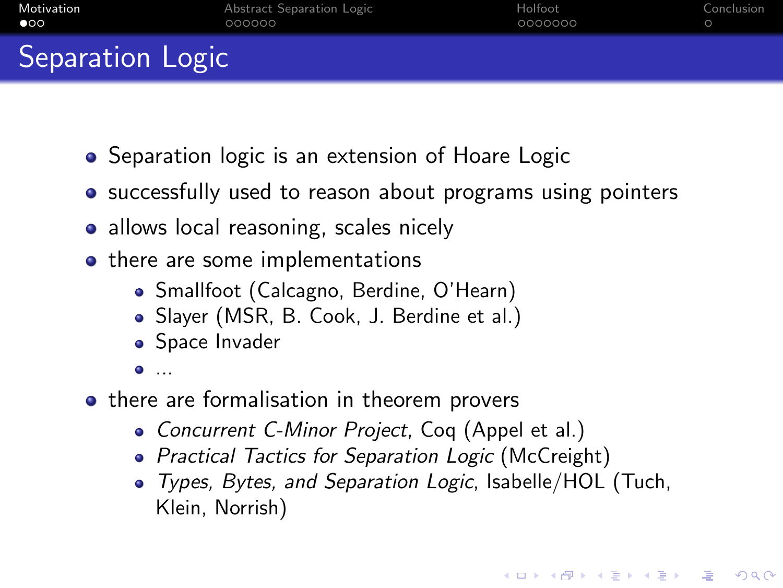| Motivation       | Abstract Separation Logic | Holfoot | Conclusion |
|------------------|---------------------------|---------|------------|
| $\bullet$        | 000000                    | 0000000 |            |
| Separation Logic |                           |         |            |

- Separation logic is an extension of Hoare Logic
- successfully used to reason about programs using pointers
- allows local reasoning, scales nicely
- there are some implementations
	- Smallfoot (Calcagno, Berdine, O'Hearn)
	- Slayer (MSR, B. Cook, J. Berdine et al.)
	- Space Invader
	- ...
- <span id="page-1-0"></span>• there are formalisation in theorem provers
	- Concurrent C-Minor Project, Coq (Appel et al.)
	- Practical Tactics for Separation Logic (McCreight)
	- Types, Bytes, and Separation Logic, Isabelle/HOL (Tuch, Klein, Norrish)

**K ロ X (日) X 제공 X 제공 X - 공 : X 이익(N)**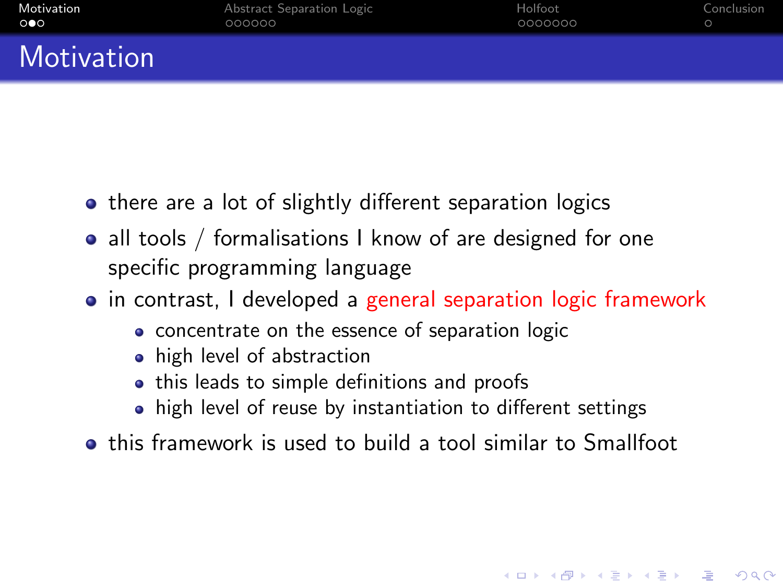| Motivation            | Abstract Separation Logic | Holfoot | Conclusion |
|-----------------------|---------------------------|---------|------------|
| $\circ \bullet \circ$ | 000000                    | 0000000 |            |
| Motivation            |                           |         |            |

- there are a lot of slightly different separation logics
- all tools / formalisations I know of are designed for one specific programming language
- in contrast, I developed a general separation logic framework
	- concentrate on the essence of separation logic
	- **•** high level of abstraction
	- this leads to simple definitions and proofs
	- high level of reuse by instantiation to different settings

this framework is used to build a tool similar to Smallfoot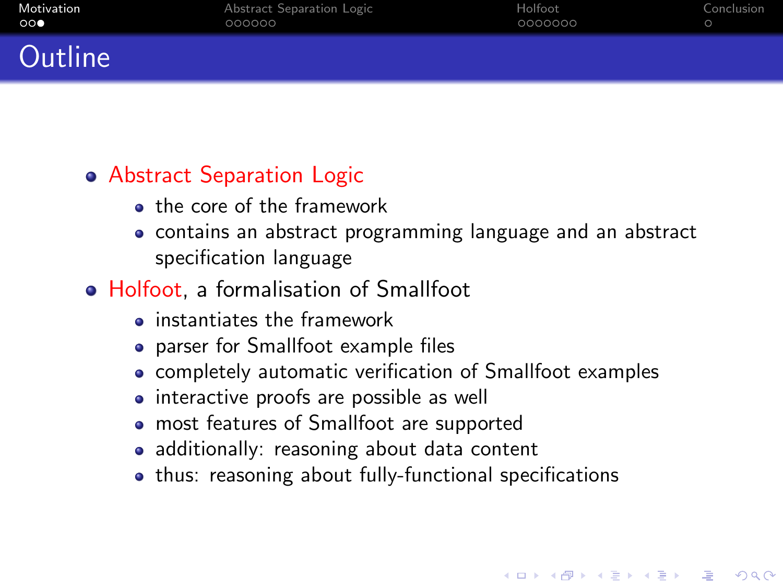| Motivation            | Abstract Separation Logic | Holfoot | Conclusion |
|-----------------------|---------------------------|---------|------------|
| $\circ \circ \bullet$ | 000000                    | 0000000 |            |
| $\sim$ $\sim$ $\sim$  |                           |         |            |

### Abstract Separation Logic

Jutline

- **a** the core of the framework
- contains an abstract programming language and an abstract specification language

#### • Holfoot, a formalisation of Smallfoot

- $\bullet$  instantiates the framework
- parser for Smallfoot example files
- completely automatic verification of Smallfoot examples
- interactive proofs are possible as well
- most features of Smallfoot are supported
- additionally: reasoning about data content
- thus: reasoning about fully-functional specifications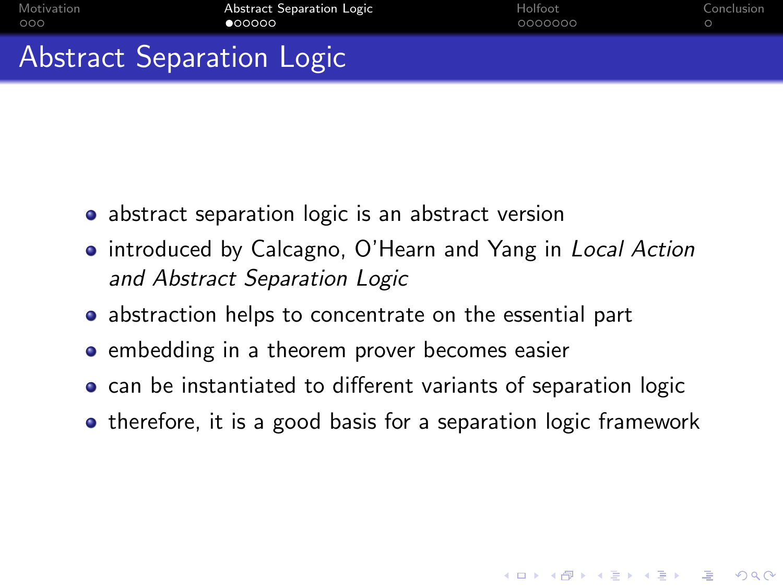| Motivation | Abstract Separation Logic | Holfoot | Conclusion |
|------------|---------------------------|---------|------------|
| 000        | 000000                    | 0000000 |            |
|            | Abstract Separation Logic |         |            |

- abstract separation logic is an abstract version
- introduced by Calcagno, O'Hearn and Yang in Local Action and Abstract Separation Logic
- abstraction helps to concentrate on the essential part
- embedding in a theorem prover becomes easier
- can be instantiated to different variants of separation logic
- <span id="page-4-0"></span>• therefore, it is a good basis for a separation logic framework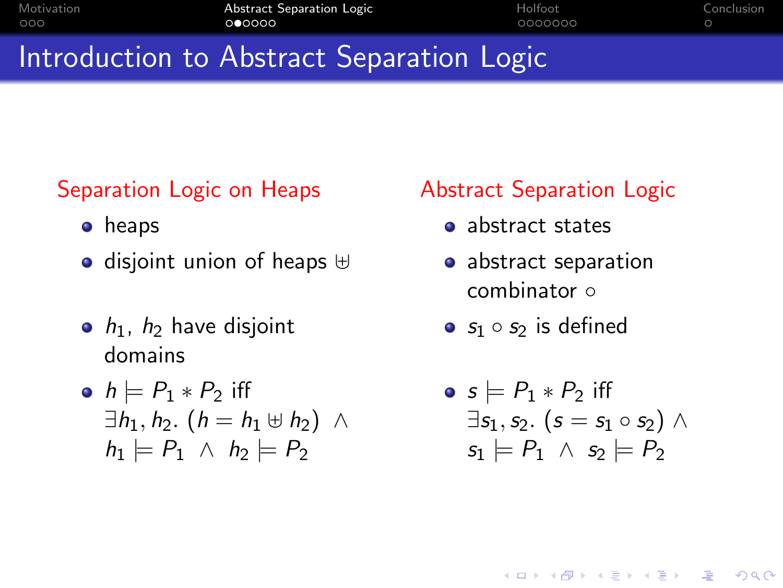| Motivation | Abstract Separation Logic                 | Holfoot | Conclusion |
|------------|-------------------------------------------|---------|------------|
| 000        | 000000                                    | 0000000 |            |
|            | Introduction to Abstract Separation Logic |         |            |

# Separation Logic on Heaps

- **•** heaps
- $\bullet$  disjoint union of heaps  $\uplus$
- $\bullet$   $h_1$ ,  $h_2$  have disjoint domains

• 
$$
h \models P_1 * P_2
$$
 iff  
\n $\exists h_1, h_2. (h = h_1 \uplus h_2) \land$   
\n $h_1 \models P_1 \land h_2 \models P_2$ 

#### Abstract Separation Logic

- abstract states
- abstract separation combinator ∘
- $s_1 \circ s_2$  is defined

$$
\begin{aligned}\n\bullet \; & s \models P_1 * P_2 \; \text{iff} \\
\exists s_1, s_2. \; (s = s_1 \circ s_2) \; \land \\
s_1 \models P_1 \; \land \; s_2 \models P_2\n\end{aligned}
$$

**KOD KAR KED KED E VOQO**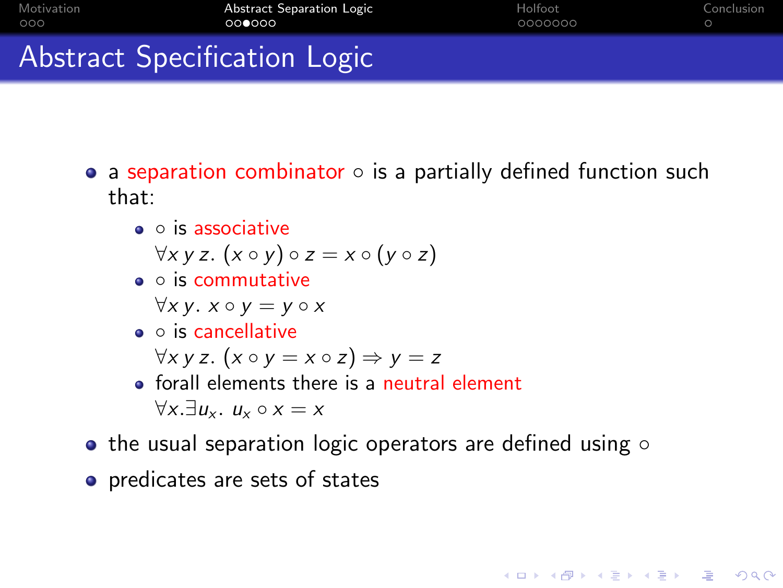| Motivation | Abstract Separation Logic           | Holfoot | Conclusion |
|------------|-------------------------------------|---------|------------|
| റററ        | 000000                              | 0000000 |            |
|            | <b>Abstract Specification Logic</b> |         |            |

- a separation combinator  $\circ$  is a partially defined function such that:
	- is associative

 $\forall x \vee z. (x \circ y) \circ z = x \circ (y \circ z)$ 

◦ is commutative

 $\forall x \, y. \; x \circ y = y \circ x$ 

◦ is cancellative

 $\forall x \, y \, z.$   $(x \circ y = x \circ z) \Rightarrow y = z$ 

- forall elements there is a neutral element  $\forall x. \exists u_x. u_x \circ x = x$
- the usual separation logic operators are defined using  $\circ$

**AD A REAKEN E YOUR** 

predicates are sets of states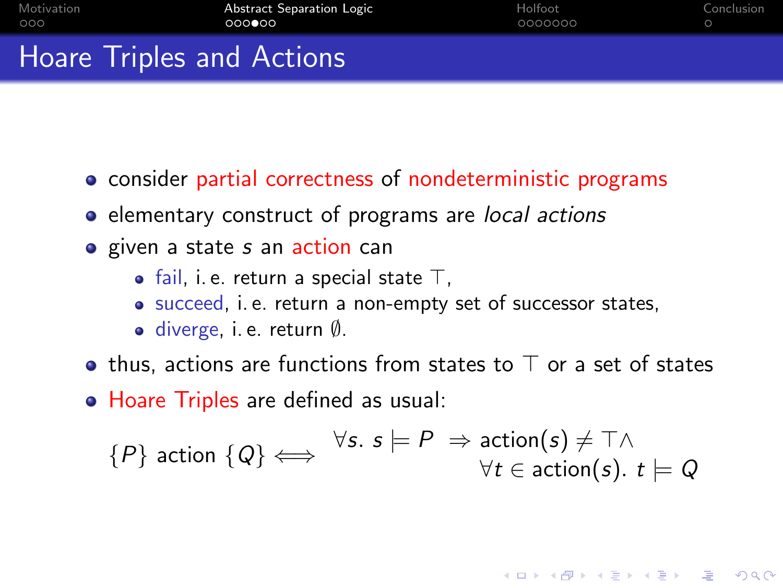| Motivation | Abstract Separation Logic        | Holfoot | Conclusion |
|------------|----------------------------------|---------|------------|
| 000        | 000000                           | 0000000 |            |
|            | <b>Hoare Triples and Actions</b> |         |            |

- **•** consider partial correctness of nondeterministic programs
- elementary construct of programs are local actions
- given a state s an action can
	- fail, i. e. return a special state  $\top$ ,
	- succeed, i. e. return a non-empty set of successor states,
	- diverge, i. e. return Ø.
- thus, actions are functions from states to  $\top$  or a set of states
- Hoare Triples are defined as usual:

$$
\{P\} \text{ action } \{Q\} \Longleftrightarrow \forall s. \; s \models P \Rightarrow \text{action}(s) \neq \top \land \\ \forall t \in \text{action}(s). \; t \models Q
$$

**KORK ERKER ER AGA**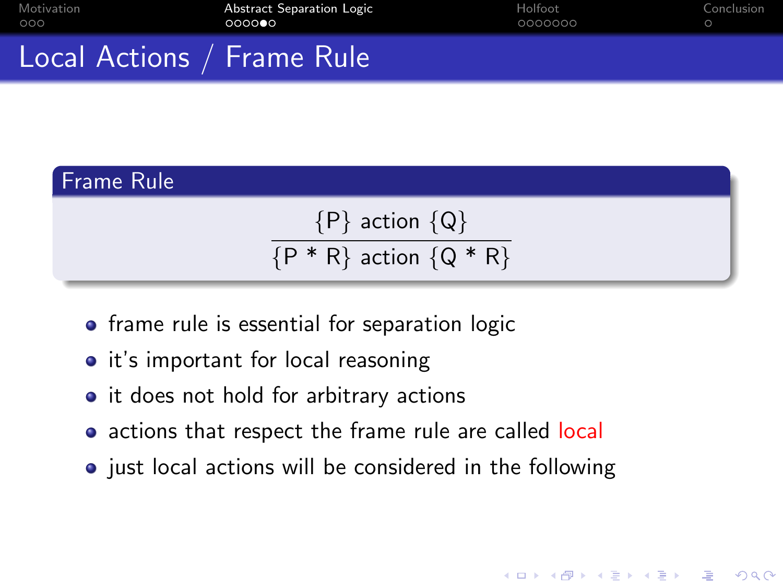| Motivation | <b>Abstract Separation Logic</b> | Holfoot | Conclusion |
|------------|----------------------------------|---------|------------|
| 000        | 000000                           | 0000000 |            |
|            |                                  |         |            |

## Local Actions / Frame Rule

#### Frame Rule

 ${P}$  action  ${Q}$  ${P * R}$  action  ${Q * R}$ 

- frame rule is essential for separation logic
- it's important for local reasoning
- it does not hold for arbitrary actions
- actions that respect the frame rule are called local
- $\bullet$  just local actions will be considered in the following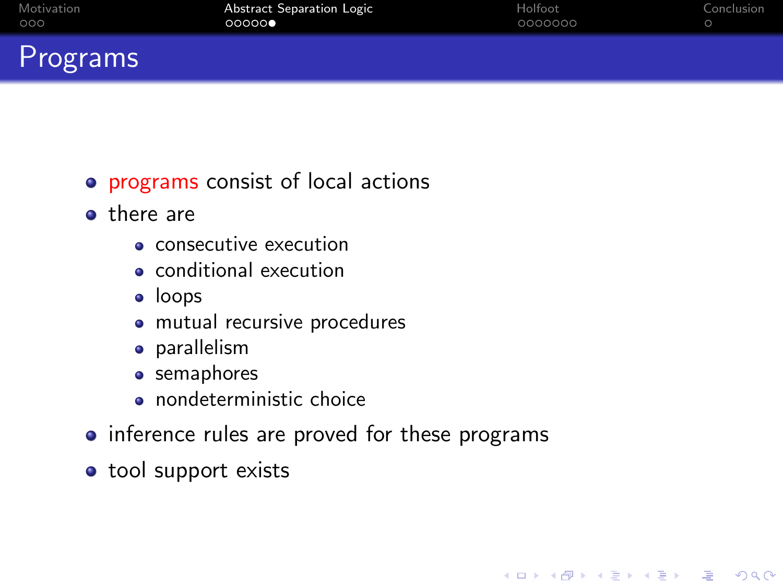| <b>Motivation</b> | Abstract Separation Logic | Holfoot | Conclusion |
|-------------------|---------------------------|---------|------------|
| 000               | 00000                     | 0000000 |            |
| œ                 |                           |         |            |

### Programs

- programs consist of local actions
- **o** there are
	- consecutive execution
	- conditional execution
	- **·** loops
	- mutual recursive procedures
	- **•** parallelism
	- semaphores
	- **o** nondeterministic choice
- inference rules are proved for these programs

K ロ ▶ K @ ▶ K 할 > K 할 > 1 할 > 1 이익어

• tool support exists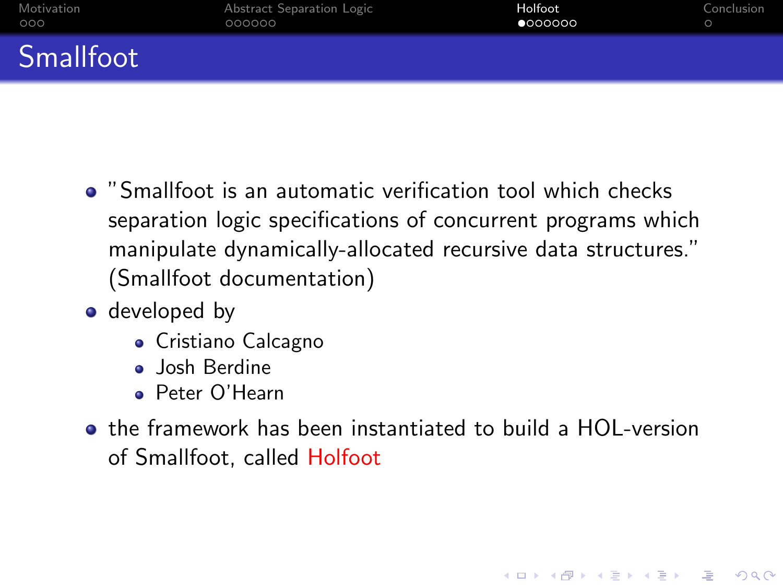| Motivation | Abstract Separation Logic | Holfoot | Conclusion |
|------------|---------------------------|---------|------------|
| 000        | 000000                    | 0000000 |            |
| Smallfoot  |                           |         |            |

- "Smallfoot is an automatic verification tool which checks separation logic specifications of concurrent programs which manipulate dynamically-allocated recursive data structures." (Smallfoot documentation)
- developed by
	- Cristiano Calcagno
	- **Josh Berdine**
	- Peter O'Hearn
- <span id="page-10-0"></span>the framework has been instantiated to build a HOL-version of Smallfoot, called Holfoot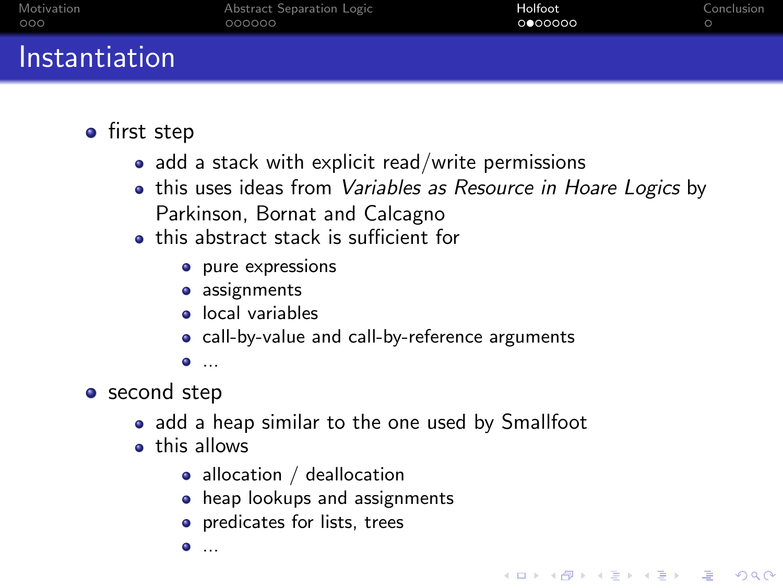| Motivation    | Abstract Separation Logic | Holfoot | Conclusion |
|---------------|---------------------------|---------|------------|
| 000           | 000000                    | 0000000 |            |
| Instantiation |                           |         |            |

- first step
	- $\bullet$  add a stack with explicit read/write permissions
	- this uses ideas from Variables as Resource in Hoare Logics by Parkinson, Bornat and Calcagno

- this abstract stack is sufficient for
	- pure expressions
	- assignments
	- local variables
	- call-by-value and call-by-reference arguments
	- ...
- second step
	- add a heap similar to the one used by Smallfoot
	- **•** this allows
		- allocation / deallocation
		- **•** heap lookups and assignments
		- **•** predicates for lists, trees
		- . ...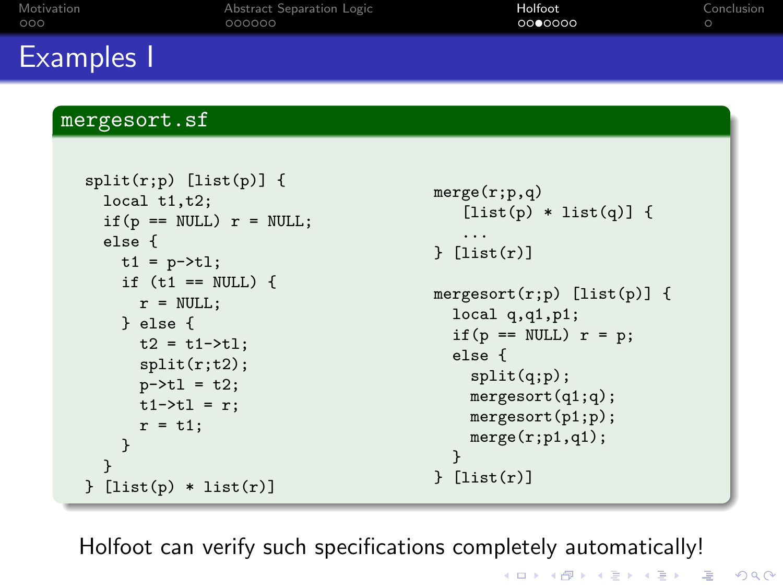| Motivation<br>000 |                                                                                                                                                                                                                                               | Abstract Separation Logic<br>000000 | Holfoot<br>0000000                                                                                                                                                                                                                     | Conclusion<br>$\circ$ |  |  |
|-------------------|-----------------------------------------------------------------------------------------------------------------------------------------------------------------------------------------------------------------------------------------------|-------------------------------------|----------------------------------------------------------------------------------------------------------------------------------------------------------------------------------------------------------------------------------------|-----------------------|--|--|
|                   | <b>Examples</b> I                                                                                                                                                                                                                             |                                     |                                                                                                                                                                                                                                        |                       |  |  |
|                   | mergesort.sf<br>$split(r;p)$ [list(p)] {                                                                                                                                                                                                      |                                     |                                                                                                                                                                                                                                        |                       |  |  |
|                   | local $t1,t2$ ;<br>if $(p == NULL)$ $r = NULL;$<br>else f<br>$t1 = p - \t{t}$ ;<br>if $(t1 == NULL)$ {<br>$r = NULL;$<br>$}$ else {<br>$t2 = t1 - \frac{1}{1}$<br>split(r;t2);<br>$p - > t1 = t2;$<br>$t1 - \t{t1} = r$ ;<br>$r = t1$ ;<br>ּי |                                     | merge(r;p,q)<br>$[iist(p) * list(q)]$ {<br>.<br>[list(r)]<br>mergesort $(r;p)$ [list $(p)$ ] {<br>local $q, q1, p1;$<br>if $(p == NULL)$ $r = p$ ;<br>else f<br>split(q;p);<br>mergesort(q1;q);<br>mergesort(p1;p);<br>merge(r;p1,q1); |                       |  |  |

Holfoot can verify such specifications completely automatically!

} } [list(r)]

K □ ▶ K @ ▶ K 할 X K 할 X ( 할 ) 2000

} }

} [list(p) \* list(r)]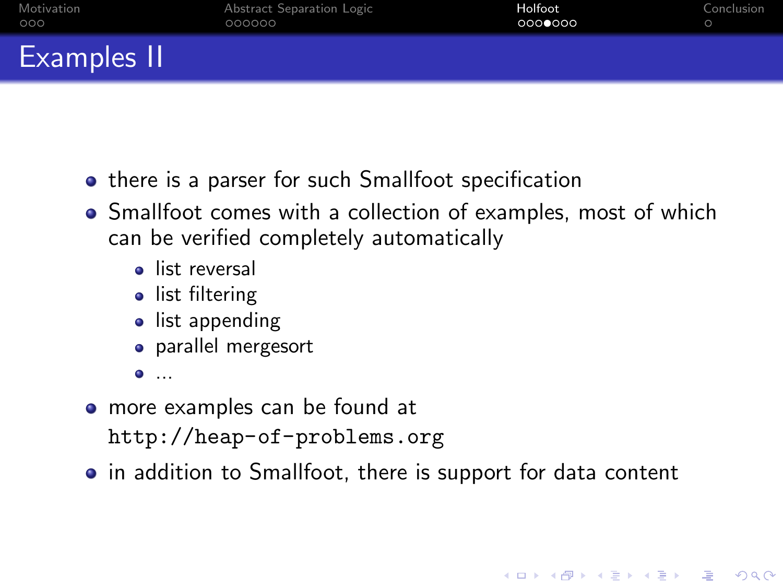| Motivation         | Abstract Separation Logic | Holfoot | Conclusion |
|--------------------|---------------------------|---------|------------|
| 000                | 000000                    | 0000000 |            |
| <b>Examples II</b> |                           |         |            |

- **•** there is a parser for such Smallfoot specification
- Smallfoot comes with a collection of examples, most of which can be verified completely automatically
	- **a** list reversal
	- list filtering
	- list appending
	- parallel mergesort
	- ...
- more examples can be found at <http://heap-of-problems.org>
- in addition to Smallfoot, there is support for data content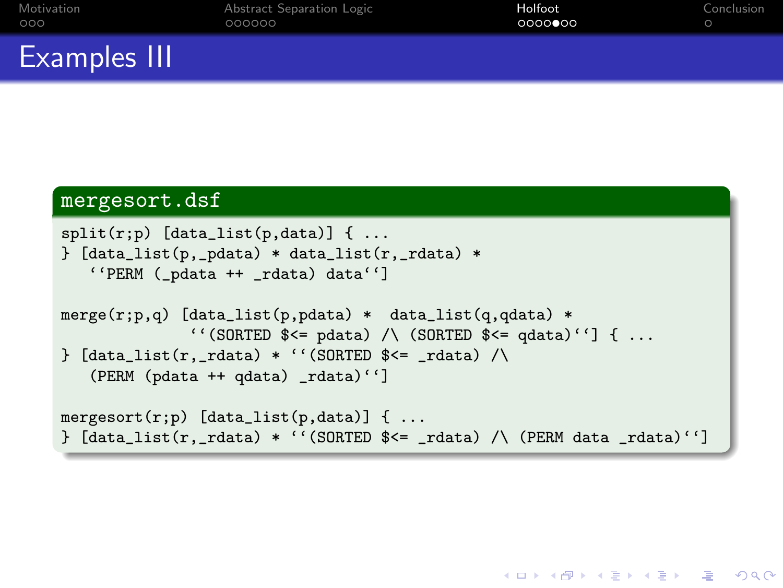| Motivation   | Abstract Separation Logic | Holfoot | Conclusion |
|--------------|---------------------------|---------|------------|
| 000          | 000000                    | 0000000 |            |
| Examples III |                           |         |            |

#### mergesort.dsf

```
split(r;p) [data_list(p,data)] { ...
{}_{i} [data_list(p,_pdata) * data_list(r,_rdata) *
   ''PERM (_pdata ++ _rdata) data'']
merge(r;p,q) [data_list(p,pdata) * data_list(q,qdata) *
              ''(SORTED $<= pdata) /\ (SORTED $<= qdata)''] { ...
\} [data_list(r,_rdata) * ''(SORTED $ <= _rdata) /\
   (PERM (pdata ++ qdata) _rdata)'']
mergesort(r;p) [data_list(p,data)] { ...
\} [data_list(r,_rdata) * ''(SORTED $<= _rdata) /\ (PERM data _rdata)'']
```
**KORK EX KEY KEY KORA**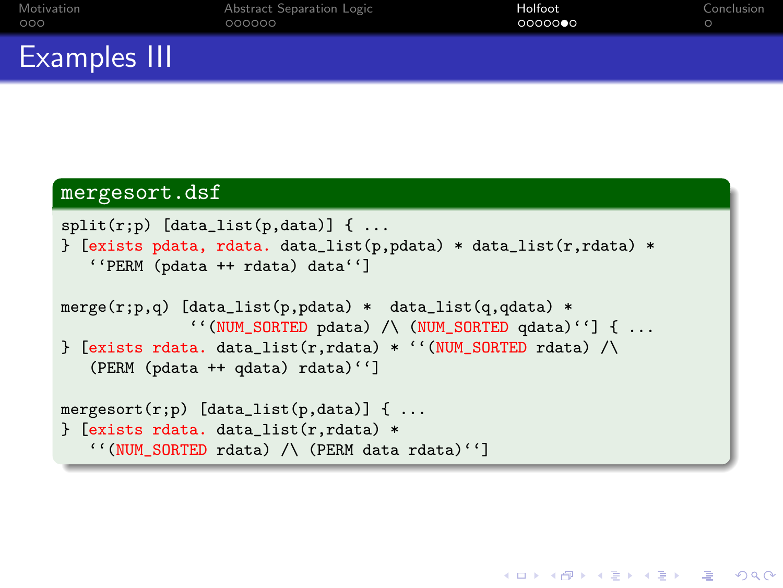| Motivation   | Abstract Separation Logic | Holfoot  | Conclusion |
|--------------|---------------------------|----------|------------|
| 000          | 000000                    | 00000000 |            |
| Examples III |                           |          |            |

#### mergesort.dsf

```
split(r;p) [data_list(p,data)] { ...
{} [exists pdata, rdata. data_list(p,pdata) * data_list(r,rdata) *
   ''PERM (pdata ++ rdata) data'']
merge(r;p,q) [data\_list(p,pdata) * data\_list(q,qdata) *''(NUM_SORTED pdata) /\ (NUM_SORTED qdata)''] { ...
\} [exists rdata. data_list(r,rdata) * ''(NUM_SORTED rdata) /\
   (PERM (pdata ++ qdata) rdata)'']
mergesort(r;p) [data_list(p,data)] { ...
} [exists rdata. data_list(r,rdata) *
   ''(NUM_SORTED rdata) /\ (PERM data rdata)'']
```
**KORK EX KEY KEY KORA**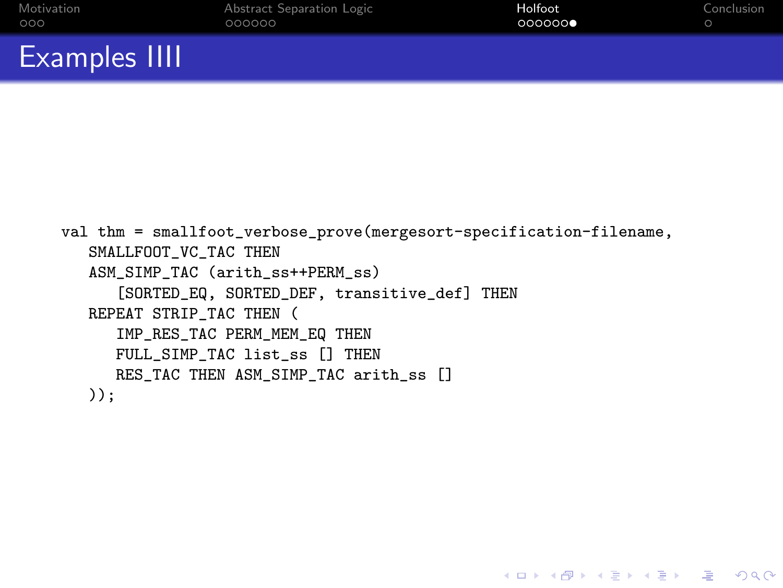| <b>Examples IIII</b> |                           |         |            |
|----------------------|---------------------------|---------|------------|
| Motivation           | Abstract Separation Logic | Holfoot | Conclusion |
| റററ                  | 000000                    | 000000  |            |

```
val thm = smallfoot_verbose_prove(mergesort-specification-filename,
   SMALLFOOT VC TAC THEN
   ASM_SIMP_TAC (arith_ss++PERM_ss)
      [SORTED_EQ, SORTED_DEF, transitive_def] THEN
   REPEAT STRIP TAC THEN (
      IMP_RES_TAC PERM_MEM_EQ THEN
      FULL_SIMP_TAC list_ss [] THEN
     RES TAC THEN ASM_SIMP_TAC arith_ss []
  ));
```
**KORK EXTER IT ARA**